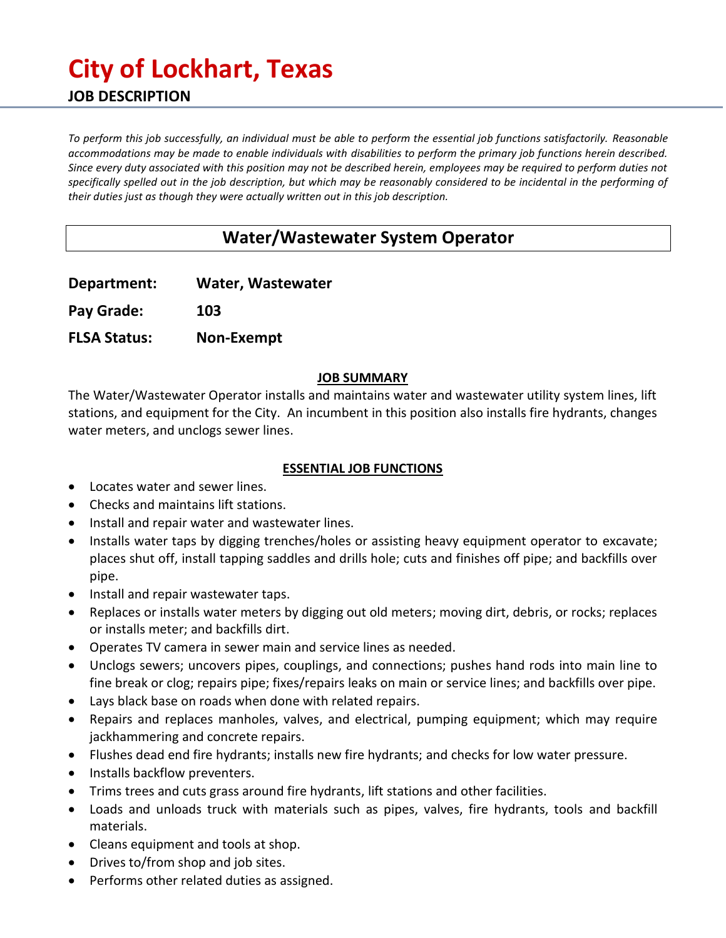# **City of Lockhart, Texas JOB DESCRIPTION**

*To perform this job successfully, an individual must be able to perform the essential job functions satisfactorily. Reasonable accommodations may be made to enable individuals with disabilities to perform the primary job functions herein described. Since every duty associated with this position may not be described herein, employees may be required to perform duties not specifically spelled out in the job description, but which may be reasonably considered to be incidental in the performing of their duties just as though they were actually written out in this job description.* 

# **Water/Wastewater System Operator**

**Department: Water, Wastewater**

**Pay Grade: 103**

**FLSA Status: Non-Exempt**

#### **JOB SUMMARY**

The Water/Wastewater Operator installs and maintains water and wastewater utility system lines, lift stations, and equipment for the City. An incumbent in this position also installs fire hydrants, changes water meters, and unclogs sewer lines.

#### **ESSENTIAL JOB FUNCTIONS**

- Locates water and sewer lines.
- Checks and maintains lift stations.
- Install and repair water and wastewater lines.
- Installs water taps by digging trenches/holes or assisting heavy equipment operator to excavate; places shut off, install tapping saddles and drills hole; cuts and finishes off pipe; and backfills over pipe.
- Install and repair wastewater taps.
- Replaces or installs water meters by digging out old meters; moving dirt, debris, or rocks; replaces or installs meter; and backfills dirt.
- Operates TV camera in sewer main and service lines as needed.
- Unclogs sewers; uncovers pipes, couplings, and connections; pushes hand rods into main line to fine break or clog; repairs pipe; fixes/repairs leaks on main or service lines; and backfills over pipe.
- Lays black base on roads when done with related repairs.
- Repairs and replaces manholes, valves, and electrical, pumping equipment; which may require jackhammering and concrete repairs.
- Flushes dead end fire hydrants; installs new fire hydrants; and checks for low water pressure.
- Installs backflow preventers.
- Trims trees and cuts grass around fire hydrants, lift stations and other facilities.
- Loads and unloads truck with materials such as pipes, valves, fire hydrants, tools and backfill materials.
- Cleans equipment and tools at shop.
- Drives to/from shop and job sites.
- Performs other related duties as assigned.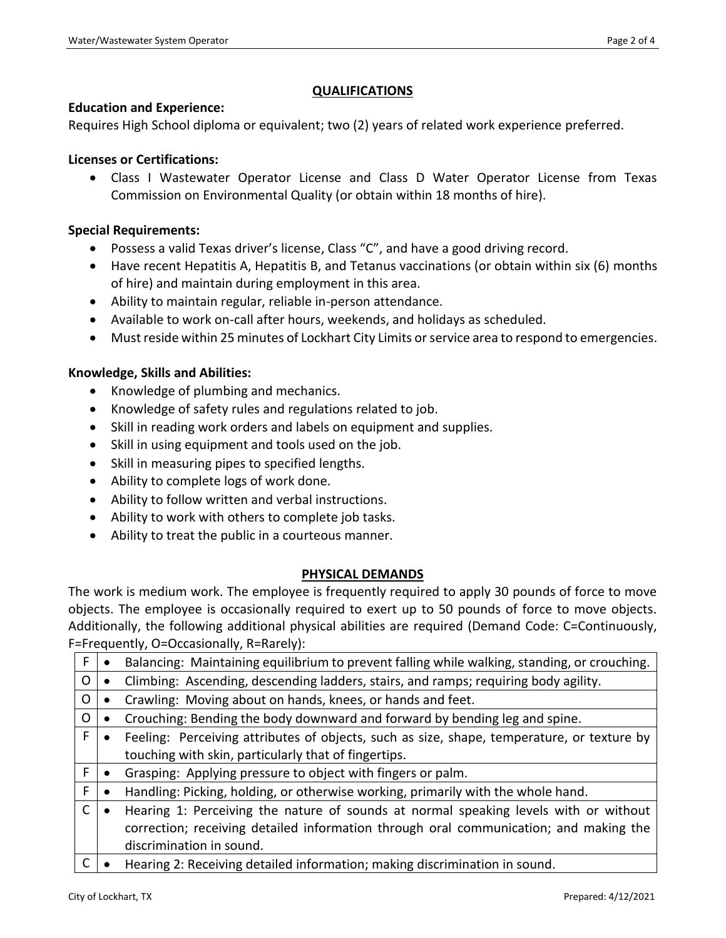#### **QUALIFICATIONS**

#### **Education and Experience:**

Requires High School diploma or equivalent; two (2) years of related work experience preferred.

#### **Licenses or Certifications:**

• Class I Wastewater Operator License and Class D Water Operator License from Texas Commission on Environmental Quality (or obtain within 18 months of hire).

#### **Special Requirements:**

- Possess a valid Texas driver's license, Class "C", and have a good driving record.
- Have recent Hepatitis A, Hepatitis B, and Tetanus vaccinations (or obtain within six (6) months of hire) and maintain during employment in this area.
- Ability to maintain regular, reliable in-person attendance.
- Available to work on-call after hours, weekends, and holidays as scheduled.
- Must reside within 25 minutes of Lockhart City Limits or service area to respond to emergencies.

#### **Knowledge, Skills and Abilities:**

- Knowledge of plumbing and mechanics.
- Knowledge of safety rules and regulations related to job.
- Skill in reading work orders and labels on equipment and supplies.
- Skill in using equipment and tools used on the job.
- Skill in measuring pipes to specified lengths.
- Ability to complete logs of work done.
- Ability to follow written and verbal instructions.
- Ability to work with others to complete job tasks.
- Ability to treat the public in a courteous manner.

#### **PHYSICAL DEMANDS**

The work is medium work. The employee is frequently required to apply 30 pounds of force to move objects. The employee is occasionally required to exert up to 50 pounds of force to move objects. Additionally, the following additional physical abilities are required (Demand Code: C=Continuously, F=Frequently, O=Occasionally, R=Rarely):

| F.      | Balancing: Maintaining equilibrium to prevent falling while walking, standing, or crouching. |
|---------|----------------------------------------------------------------------------------------------|
| O       | Climbing: Ascending, descending ladders, stairs, and ramps; requiring body agility.          |
| $\circ$ | Crawling: Moving about on hands, knees, or hands and feet.                                   |
| O       | Crouching: Bending the body downward and forward by bending leg and spine.                   |
| F       | Feeling: Perceiving attributes of objects, such as size, shape, temperature, or texture by   |
|         | touching with skin, particularly that of fingertips.                                         |
| F       | Grasping: Applying pressure to object with fingers or palm.                                  |
| F       | Handling: Picking, holding, or otherwise working, primarily with the whole hand.             |
| C       | Hearing 1: Perceiving the nature of sounds at normal speaking levels with or without         |
|         | correction; receiving detailed information through oral communication; and making the        |
|         | discrimination in sound.                                                                     |
|         | Hearing 2: Receiving detailed information; making discrimination in sound.                   |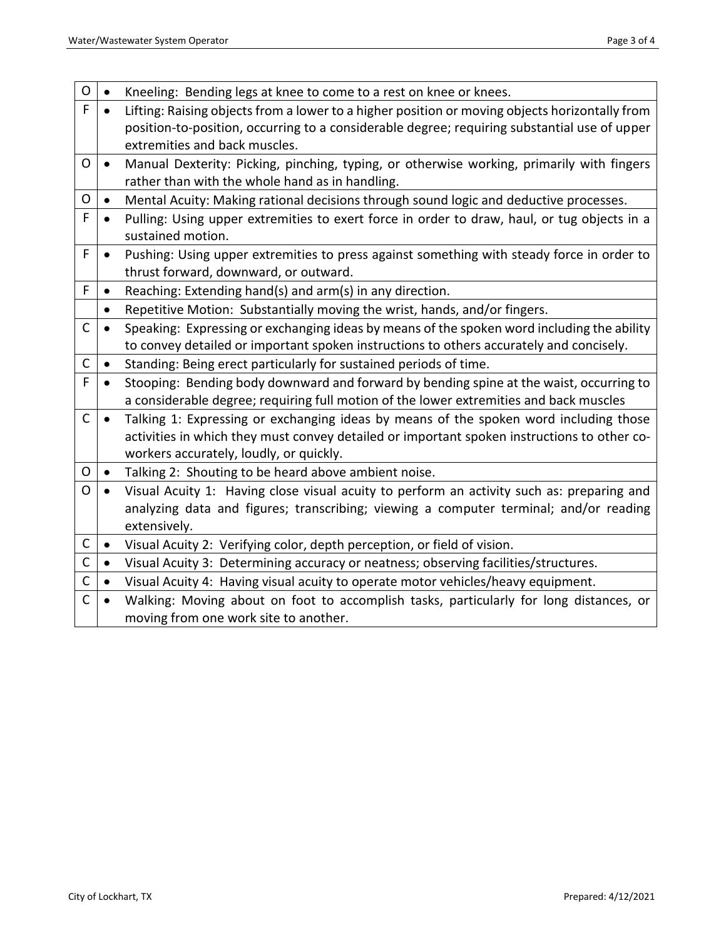| O            | $\bullet$ | Kneeling: Bending legs at knee to come to a rest on knee or knees.                                               |
|--------------|-----------|------------------------------------------------------------------------------------------------------------------|
| F            |           | Lifting: Raising objects from a lower to a higher position or moving objects horizontally from                   |
|              |           | position-to-position, occurring to a considerable degree; requiring substantial use of upper                     |
|              |           | extremities and back muscles.                                                                                    |
| O            | $\bullet$ | Manual Dexterity: Picking, pinching, typing, or otherwise working, primarily with fingers                        |
|              |           | rather than with the whole hand as in handling.                                                                  |
| O            | $\bullet$ | Mental Acuity: Making rational decisions through sound logic and deductive processes.                            |
| F            | $\bullet$ | Pulling: Using upper extremities to exert force in order to draw, haul, or tug objects in a<br>sustained motion. |
| F            | $\bullet$ | Pushing: Using upper extremities to press against something with steady force in order to                        |
|              |           | thrust forward, downward, or outward.                                                                            |
| F            | $\bullet$ | Reaching: Extending hand(s) and arm(s) in any direction.                                                         |
|              | $\bullet$ | Repetitive Motion: Substantially moving the wrist, hands, and/or fingers.                                        |
| $\mathsf{C}$ | $\bullet$ | Speaking: Expressing or exchanging ideas by means of the spoken word including the ability                       |
|              |           | to convey detailed or important spoken instructions to others accurately and concisely.                          |
| $\mathsf C$  | $\bullet$ | Standing: Being erect particularly for sustained periods of time.                                                |
| F            | $\bullet$ | Stooping: Bending body downward and forward by bending spine at the waist, occurring to                          |
|              |           | a considerable degree; requiring full motion of the lower extremities and back muscles                           |
| $\mathsf{C}$ |           | Talking 1: Expressing or exchanging ideas by means of the spoken word including those                            |
|              |           | activities in which they must convey detailed or important spoken instructions to other co-                      |
|              |           | workers accurately, loudly, or quickly.                                                                          |
| O            | $\bullet$ | Talking 2: Shouting to be heard above ambient noise.                                                             |
| O            | $\bullet$ | Visual Acuity 1: Having close visual acuity to perform an activity such as: preparing and                        |
|              |           | analyzing data and figures; transcribing; viewing a computer terminal; and/or reading                            |
|              |           | extensively.                                                                                                     |
| C            | $\bullet$ | Visual Acuity 2: Verifying color, depth perception, or field of vision.                                          |
| $\mathsf{C}$ | $\bullet$ | Visual Acuity 3: Determining accuracy or neatness; observing facilities/structures.                              |
| $\mathsf{C}$ | $\bullet$ | Visual Acuity 4: Having visual acuity to operate motor vehicles/heavy equipment.                                 |
| $\mathsf{C}$ | $\bullet$ | Walking: Moving about on foot to accomplish tasks, particularly for long distances, or                           |
|              |           | moving from one work site to another.                                                                            |